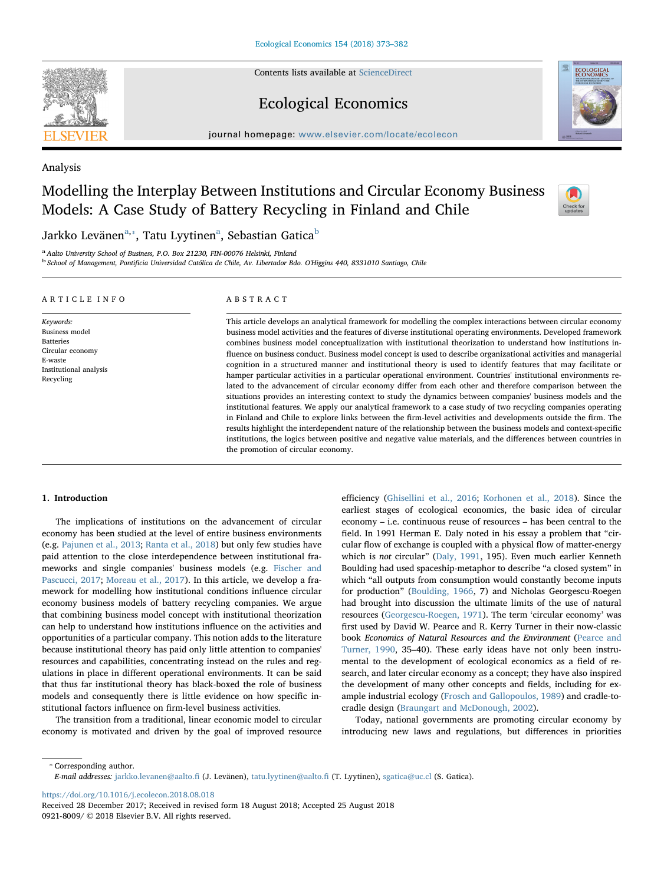Contents lists available at [ScienceDirect](http://www.sciencedirect.com/science/journal/09218009)

# Ecological Economics



## journal homepage: [www.elsevier.com/locate/ecolecon](https://www.elsevier.com/locate/ecolecon)

## Analysis

**SEVIER** 

# Modelling the Interplay Between Institutions and Circular Economy Business Models: A Case Study of Battery Recycling in Finland and Chile



J[a](#page-0-0)rkko Levänen $^{\rm a, *},$  $^{\rm a, *},$  $^{\rm a, *},$  Tatu Lyytinen $^{\rm a}$ , Se[b](#page-0-2)astian Gatica $^{\rm b}$ 

<span id="page-0-0"></span><sup>a</sup> Aalto University School of Business, P.O. Box 21230, FIN-00076 Helsinki, Finland

<span id="page-0-2"></span><sup>b</sup> School of Management, Pontificia Universidad Católica de Chile, Av. Libertador Bdo. O'Higgins 440, 8331010 Santiago, Chile

#### ARTICLE INFO

#### Keywords: Business model Batteries Circular economy E-waste Institutional analysis

Recycling

## ABSTRACT

This article develops an analytical framework for modelling the complex interactions between circular economy business model activities and the features of diverse institutional operating environments. Developed framework combines business model conceptualization with institutional theorization to understand how institutions influence on business conduct. Business model concept is used to describe organizational activities and managerial cognition in a structured manner and institutional theory is used to identify features that may facilitate or hamper particular activities in a particular operational environment. Countries' institutional environments related to the advancement of circular economy differ from each other and therefore comparison between the situations provides an interesting context to study the dynamics between companies' business models and the institutional features. We apply our analytical framework to a case study of two recycling companies operating in Finland and Chile to explore links between the firm-level activities and developments outside the firm. The results highlight the interdependent nature of the relationship between the business models and context-specific institutions, the logics between positive and negative value materials, and the differences between countries in the promotion of circular economy.

## 1. Introduction

The implications of institutions on the advancement of circular economy has been studied at the level of entire business environments (e.g. [Pajunen et al., 2013](#page-9-0); [Ranta et al., 2018](#page-9-1)) but only few studies have paid attention to the close interdependence between institutional frameworks and single companies' business models (e.g. [Fischer and](#page-8-0) [Pascucci, 2017](#page-8-0); [Moreau et al., 2017\)](#page-9-2). In this article, we develop a framework for modelling how institutional conditions influence circular economy business models of battery recycling companies. We argue that combining business model concept with institutional theorization can help to understand how institutions influence on the activities and opportunities of a particular company. This notion adds to the literature because institutional theory has paid only little attention to companies' resources and capabilities, concentrating instead on the rules and regulations in place in different operational environments. It can be said that thus far institutional theory has black-boxed the role of business models and consequently there is little evidence on how specific institutional factors influence on firm-level business activities.

The transition from a traditional, linear economic model to circular economy is motivated and driven by the goal of improved resource efficiency [\(Ghisellini et al., 2016;](#page-8-1) [Korhonen et al., 2018](#page-8-2)). Since the earliest stages of ecological economics, the basic idea of circular economy – i.e. continuous reuse of resources – has been central to the field. In 1991 Herman E. Daly noted in his essay a problem that "circular flow of exchange is coupled with a physical flow of matter-energy which is not circular" [\(Daly, 1991](#page-8-3), 195). Even much earlier Kenneth Boulding had used spaceship-metaphor to describe "a closed system" in which "all outputs from consumption would constantly become inputs for production" [\(Boulding, 1966,](#page-8-4) 7) and Nicholas Georgescu-Roegen had brought into discussion the ultimate limits of the use of natural resources [\(Georgescu-Roegen, 1971](#page-8-5)). The term 'circular economy' was first used by David W. Pearce and R. Kerry Turner in their now-classic book Economics of Natural Resources and the Environment ([Pearce and](#page-9-3) [Turner, 1990,](#page-9-3) 35–40). These early ideas have not only been instrumental to the development of ecological economics as a field of research, and later circular economy as a concept; they have also inspired the development of many other concepts and fields, including for example industrial ecology ([Frosch and Gallopoulos, 1989](#page-8-6)) and cradle-tocradle design [\(Braungart and McDonough, 2002](#page-8-7)).

Today, national governments are promoting circular economy by introducing new laws and regulations, but differences in priorities

<span id="page-0-1"></span>⁎ Corresponding author.

<https://doi.org/10.1016/j.ecolecon.2018.08.018>

E-mail addresses: [jarkko.levanen@aalto.](mailto:jarkko.levanen@aalto.fi)fi (J. Levänen), [tatu.lyytinen@aalto.](mailto:tatu.lyytinen@aalto.fi)fi (T. Lyytinen), [sgatica@uc.cl](mailto:sgatica@uc.cl) (S. Gatica).

Received 28 December 2017; Received in revised form 18 August 2018; Accepted 25 August 2018 0921-8009/ © 2018 Elsevier B.V. All rights reserved.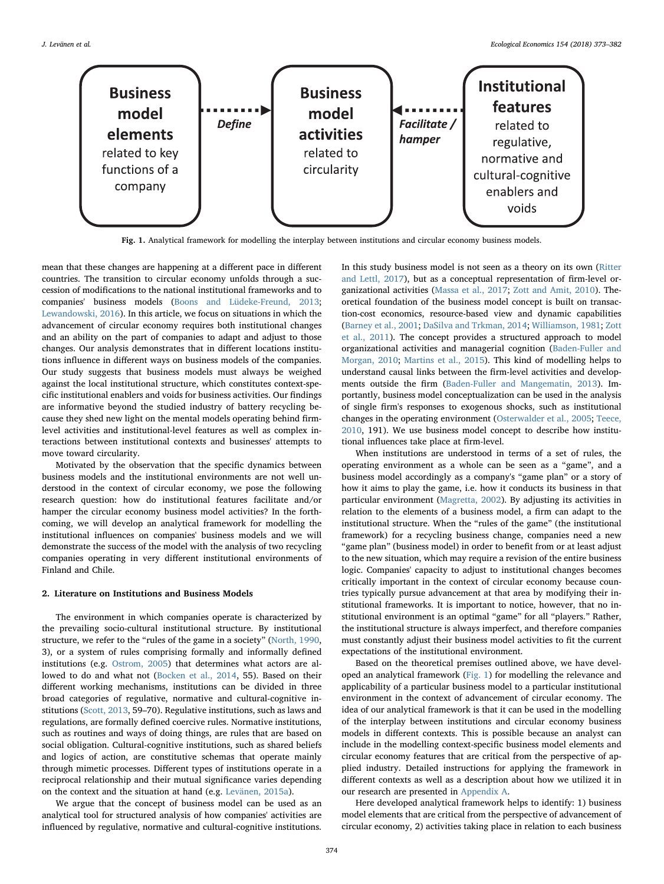<span id="page-1-0"></span>

Fig. 1. Analytical framework for modelling the interplay between institutions and circular economy business models.

mean that these changes are happening at a different pace in different countries. The transition to circular economy unfolds through a succession of modifications to the national institutional frameworks and to companies' business models [\(Boons and Lüdeke-Freund, 2013](#page-8-8); [Lewandowski, 2016\)](#page-8-9). In this article, we focus on situations in which the advancement of circular economy requires both institutional changes and an ability on the part of companies to adapt and adjust to those changes. Our analysis demonstrates that in different locations institutions influence in different ways on business models of the companies. Our study suggests that business models must always be weighed against the local institutional structure, which constitutes context-specific institutional enablers and voids for business activities. Our findings are informative beyond the studied industry of battery recycling because they shed new light on the mental models operating behind firmlevel activities and institutional-level features as well as complex interactions between institutional contexts and businesses' attempts to move toward circularity.

Motivated by the observation that the specific dynamics between business models and the institutional environments are not well understood in the context of circular economy, we pose the following research question: how do institutional features facilitate and/or hamper the circular economy business model activities? In the forthcoming, we will develop an analytical framework for modelling the institutional influences on companies' business models and we will demonstrate the success of the model with the analysis of two recycling companies operating in very different institutional environments of Finland and Chile.

#### 2. Literature on Institutions and Business Models

The environment in which companies operate is characterized by the prevailing socio-cultural institutional structure. By institutional structure, we refer to the "rules of the game in a society" [\(North, 1990](#page-9-4), 3), or a system of rules comprising formally and informally defined institutions (e.g. [Ostrom, 2005\)](#page-9-5) that determines what actors are allowed to do and what not ([Bocken et al., 2014](#page-8-10), 55). Based on their different working mechanisms, institutions can be divided in three broad categories of regulative, normative and cultural-cognitive institutions [\(Scott, 2013,](#page-9-6) 59–70). Regulative institutions, such as laws and regulations, are formally defined coercive rules. Normative institutions, such as routines and ways of doing things, are rules that are based on social obligation. Cultural-cognitive institutions, such as shared beliefs and logics of action, are constitutive schemas that operate mainly through mimetic processes. Different types of institutions operate in a reciprocal relationship and their mutual significance varies depending on the context and the situation at hand (e.g. [Levänen, 2015a\)](#page-8-11).

We argue that the concept of business model can be used as an analytical tool for structured analysis of how companies' activities are influenced by regulative, normative and cultural-cognitive institutions.

In this study business model is not seen as a theory on its own ([Ritter](#page-9-7) and [Lettl, 2017](#page-9-7)), but as a conceptual representation of firm-level organizational activities [\(Massa et al., 2017;](#page-9-8) [Zott and Amit, 2010\)](#page-9-9). Theoretical foundation of the business model concept is built on transaction-cost economics, resource-based view and dynamic capabilities ([Barney et al., 2001](#page-8-12); [DaSilva and Trkman, 2014](#page-8-13); [Williamson, 1981](#page-9-10); [Zott](#page-9-11) [et al., 2011\)](#page-9-11). The concept provides a structured approach to model organizational activities and managerial cognition ([Baden-Fuller and](#page-8-14) [Morgan, 2010](#page-8-14); [Martins et al., 2015\)](#page-8-15). This kind of modelling helps to understand causal links between the firm-level activities and developments outside the firm [\(Baden-Fuller and Mangematin, 2013\)](#page-8-16). Importantly, business model conceptualization can be used in the analysis of single firm's responses to exogenous shocks, such as institutional changes in the operating environment ([Osterwalder et al., 2005;](#page-9-12) [Teece,](#page-9-13) [2010,](#page-9-13) 191). We use business model concept to describe how institutional influences take place at firm-level.

When institutions are understood in terms of a set of rules, the operating environment as a whole can be seen as a "game", and a business model accordingly as a company's "game plan" or a story of how it aims to play the game, i.e. how it conducts its business in that particular environment ([Magretta, 2002\)](#page-8-17). By adjusting its activities in relation to the elements of a business model, a firm can adapt to the institutional structure. When the "rules of the game" (the institutional framework) for a recycling business change, companies need a new "game plan" (business model) in order to benefit from or at least adjust to the new situation, which may require a revision of the entire business logic. Companies' capacity to adjust to institutional changes becomes critically important in the context of circular economy because countries typically pursue advancement at that area by modifying their institutional frameworks. It is important to notice, however, that no institutional environment is an optimal "game" for all "players." Rather, the institutional structure is always imperfect, and therefore companies must constantly adjust their business model activities to fit the current expectations of the institutional environment.

Based on the theoretical premises outlined above, we have developed an analytical framework [\(Fig.](#page-1-0) 1) for modelling the relevance and applicability of a particular business model to a particular institutional environment in the context of advancement of circular economy. The idea of our analytical framework is that it can be used in the modelling of the interplay between institutions and circular economy business models in different contexts. This is possible because an analyst can include in the modelling context-specific business model elements and circular economy features that are critical from the perspective of applied industry. Detailed instructions for applying the framework in different contexts as well as a description about how we utilized it in our research are presented in [Appendix A](#page-7-0).

Here developed analytical framework helps to identify: 1) business model elements that are critical from the perspective of advancement of circular economy, 2) activities taking place in relation to each business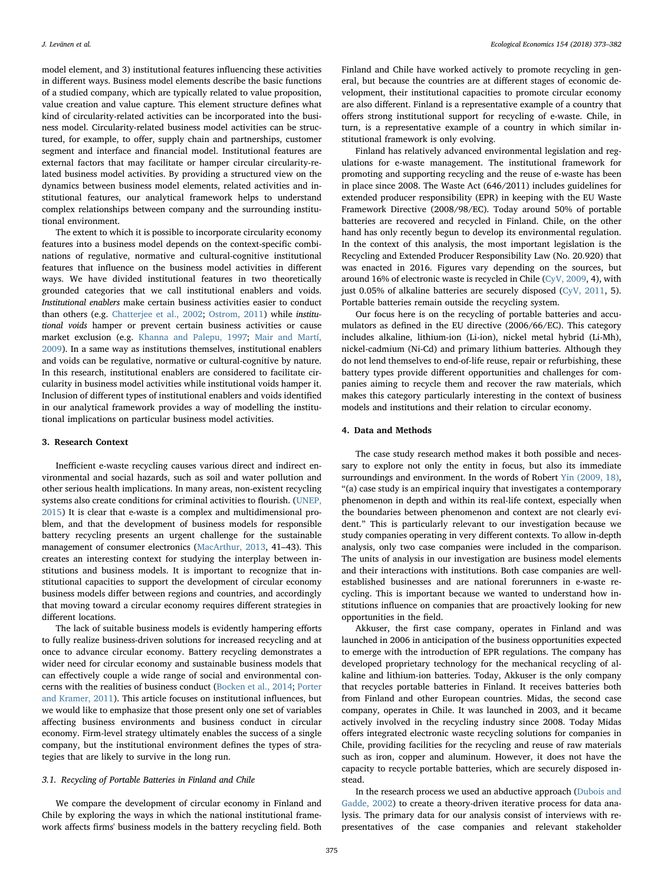model element, and 3) institutional features influencing these activities in different ways. Business model elements describe the basic functions of a studied company, which are typically related to value proposition, value creation and value capture. This element structure defines what kind of circularity-related activities can be incorporated into the business model. Circularity-related business model activities can be structured, for example, to offer, supply chain and partnerships, customer segment and interface and financial model. Institutional features are external factors that may facilitate or hamper circular circularity-related business model activities. By providing a structured view on the dynamics between business model elements, related activities and institutional features, our analytical framework helps to understand complex relationships between company and the surrounding institutional environment.

The extent to which it is possible to incorporate circularity economy features into a business model depends on the context-specific combinations of regulative, normative and cultural-cognitive institutional features that influence on the business model activities in different ways. We have divided institutional features in two theoretically grounded categories that we call institutional enablers and voids. Institutional enablers make certain business activities easier to conduct than others (e.g. [Chatterjee et al., 2002;](#page-8-18) [Ostrom, 2011\)](#page-9-14) while institutional voids hamper or prevent certain business activities or cause market exclusion (e.g. [Khanna and Palepu, 1997;](#page-8-19) [Mair and Martí,](#page-8-20) [2009\)](#page-8-20). In a same way as institutions themselves, institutional enablers and voids can be regulative, normative or cultural-cognitive by nature. In this research, institutional enablers are considered to facilitate circularity in business model activities while institutional voids hamper it. Inclusion of different types of institutional enablers and voids identified in our analytical framework provides a way of modelling the institutional implications on particular business model activities.

#### 3. Research Context

Inefficient e-waste recycling causes various direct and indirect environmental and social hazards, such as soil and water pollution and other serious health implications. In many areas, non-existent recycling systems also create conditions for criminal activities to flourish. ([UNEP,](#page-9-15) [2015\)](#page-9-15) It is clear that e-waste is a complex and multidimensional problem, and that the development of business models for responsible battery recycling presents an urgent challenge for the sustainable management of consumer electronics ([MacArthur, 2013](#page-8-21), 41–43). This creates an interesting context for studying the interplay between institutions and business models. It is important to recognize that institutional capacities to support the development of circular economy business models differ between regions and countries, and accordingly that moving toward a circular economy requires different strategies in different locations.

The lack of suitable business models is evidently hampering efforts to fully realize business-driven solutions for increased recycling and at once to advance circular economy. Battery recycling demonstrates a wider need for circular economy and sustainable business models that can effectively couple a wide range of social and environmental concerns with the realities of business conduct ([Bocken et al., 2014](#page-8-10); [Porter](#page-9-16) [and Kramer, 2011\)](#page-9-16). This article focuses on institutional influences, but we would like to emphasize that those present only one set of variables affecting business environments and business conduct in circular economy. Firm-level strategy ultimately enables the success of a single company, but the institutional environment defines the types of strategies that are likely to survive in the long run.

#### 3.1. Recycling of Portable Batteries in Finland and Chile

We compare the development of circular economy in Finland and Chile by exploring the ways in which the national institutional framework affects firms' business models in the battery recycling field. Both Finland and Chile have worked actively to promote recycling in general, but because the countries are at different stages of economic development, their institutional capacities to promote circular economy are also different. Finland is a representative example of a country that offers strong institutional support for recycling of e-waste. Chile, in turn, is a representative example of a country in which similar institutional framework is only evolving.

Finland has relatively advanced environmental legislation and regulations for e-waste management. The institutional framework for promoting and supporting recycling and the reuse of e-waste has been in place since 2008. The Waste Act (646/2011) includes guidelines for extended producer responsibility (EPR) in keeping with the EU Waste Framework Directive (2008/98/EC). Today around 50% of portable batteries are recovered and recycled in Finland. Chile, on the other hand has only recently begun to develop its environmental regulation. In the context of this analysis, the most important legislation is the Recycling and Extended Producer Responsibility Law (No. 20.920) that was enacted in 2016. Figures vary depending on the sources, but around 16% of electronic waste is recycled in Chile [\(CyV, 2009,](#page-8-22) 4), with just 0.05% of alkaline batteries are securely disposed ([CyV, 2011,](#page-8-23) 5). Portable batteries remain outside the recycling system.

Our focus here is on the recycling of portable batteries and accumulators as defined in the EU directive (2006/66/EC). This category includes alkaline, lithium-ion (Li-ion), nickel metal hybrid (Li-Mh), nickel‑cadmium (Ni-Cd) and primary lithium batteries. Although they do not lend themselves to end-of-life reuse, repair or refurbishing, these battery types provide different opportunities and challenges for companies aiming to recycle them and recover the raw materials, which makes this category particularly interesting in the context of business models and institutions and their relation to circular economy.

#### 4. Data and Methods

The case study research method makes it both possible and necessary to explore not only the entity in focus, but also its immediate surroundings and environment. In the words of Robert [Yin \(2009, 18\)](#page-9-17), "(a) case study is an empirical inquiry that investigates a contemporary phenomenon in depth and within its real-life context, especially when the boundaries between phenomenon and context are not clearly evident." This is particularly relevant to our investigation because we study companies operating in very different contexts. To allow in-depth analysis, only two case companies were included in the comparison. The units of analysis in our investigation are business model elements and their interactions with institutions. Both case companies are wellestablished businesses and are national forerunners in e-waste recycling. This is important because we wanted to understand how institutions influence on companies that are proactively looking for new opportunities in the field.

Akkuser, the first case company, operates in Finland and was launched in 2006 in anticipation of the business opportunities expected to emerge with the introduction of EPR regulations. The company has developed proprietary technology for the mechanical recycling of alkaline and lithium-ion batteries. Today, Akkuser is the only company that recycles portable batteries in Finland. It receives batteries both from Finland and other European countries. Midas, the second case company, operates in Chile. It was launched in 2003, and it became actively involved in the recycling industry since 2008. Today Midas offers integrated electronic waste recycling solutions for companies in Chile, providing facilities for the recycling and reuse of raw materials such as iron, copper and aluminum. However, it does not have the capacity to recycle portable batteries, which are securely disposed instead.

In the research process we used an abductive approach ([Dubois and](#page-8-24) [Gadde, 2002](#page-8-24)) to create a theory-driven iterative process for data analysis. The primary data for our analysis consist of interviews with representatives of the case companies and relevant stakeholder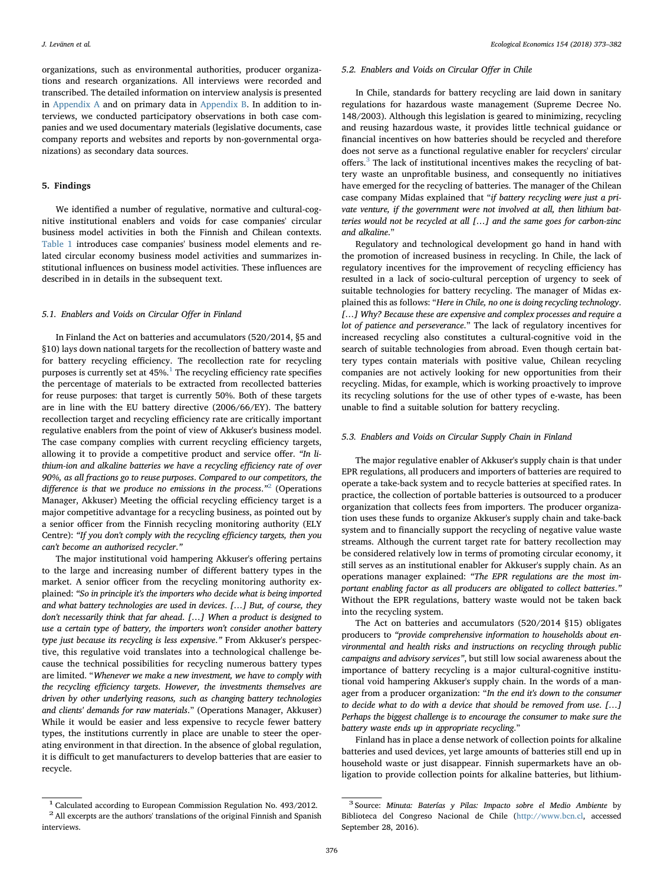organizations, such as environmental authorities, producer organizations and research organizations. All interviews were recorded and transcribed. The detailed information on interview analysis is presented in [Appendix A](#page-7-0) and on primary data in [Appendix B](#page-8-25). In addition to interviews, we conducted participatory observations in both case companies and we used documentary materials (legislative documents, case company reports and websites and reports by non-governmental organizations) as secondary data sources.

#### 5. Findings

We identified a number of regulative, normative and cultural-cognitive institutional enablers and voids for case companies' circular business model activities in both the Finnish and Chilean contexts. [Table 1](#page-4-0) introduces case companies' business model elements and related circular economy business model activities and summarizes institutional influences on business model activities. These influences are described in in details in the subsequent text.

#### <span id="page-3-3"></span>5.1. Enablers and Voids on Circular Offer in Finland

In Finland the Act on batteries and accumulators (520/2014, §5 and §10) lays down national targets for the recollection of battery waste and for battery recycling efficiency. The recollection rate for recycling purposes is currently set at  $45\%$ .<sup>[1](#page-3-0)</sup> The recycling efficiency rate specifies the percentage of materials to be extracted from recollected batteries for reuse purposes: that target is currently 50%. Both of these targets are in line with the EU battery directive (2006/66/EY). The battery recollection target and recycling efficiency rate are critically important regulative enablers from the point of view of Akkuser's business model. The case company complies with current recycling efficiency targets, allowing it to provide a competitive product and service offer. "In lithium-ion and alkaline batteries we have a recycling efficiency rate of over 90%, as all fractions go to reuse purposes. Compared to our competitors, the difference is that we produce no emissions in the process. $^{\prime\prime\prime}$  (Operations Manager, Akkuser) Meeting the official recycling efficiency target is a major competitive advantage for a recycling business, as pointed out by a senior officer from the Finnish recycling monitoring authority (ELY Centre): "If you don't comply with the recycling efficiency targets, then you can't become an authorized recycler."

The major institutional void hampering Akkuser's offering pertains to the large and increasing number of different battery types in the market. A senior officer from the recycling monitoring authority explained: "So in principle it's the importers who decide what is being imported and what battery technologies are used in devices. […] But, of course, they don't necessarily think that far ahead. […] When a product is designed to use a certain type of battery, the importers won't consider another battery type just because its recycling is less expensive." From Akkuser's perspective, this regulative void translates into a technological challenge because the technical possibilities for recycling numerous battery types are limited. "Whenever we make a new investment, we have to comply with the recycling efficiency targets. However, the investments themselves are driven by other underlying reasons, such as changing battery technologies and clients' demands for raw materials." (Operations Manager, Akkuser) While it would be easier and less expensive to recycle fewer battery types, the institutions currently in place are unable to steer the operating environment in that direction. In the absence of global regulation, it is difficult to get manufacturers to develop batteries that are easier to recycle.

#### 5.2. Enablers and Voids on Circular Offer in Chile

In Chile, standards for battery recycling are laid down in sanitary regulations for hazardous waste management (Supreme Decree No. 148/2003). Although this legislation is geared to minimizing, recycling and reusing hazardous waste, it provides little technical guidance or financial incentives on how batteries should be recycled and therefore does not serve as a functional regulative enabler for recyclers' circular offers.<sup>[3](#page-3-2)</sup> The lack of institutional incentives makes the recycling of battery waste an unprofitable business, and consequently no initiatives have emerged for the recycling of batteries. The manager of the Chilean case company Midas explained that "if battery recycling were just a private venture, if the government were not involved at all, then lithium batteries would not be recycled at all […] and the same goes for carbon-zinc and alkaline."

Regulatory and technological development go hand in hand with the promotion of increased business in recycling. In Chile, the lack of regulatory incentives for the improvement of recycling efficiency has resulted in a lack of socio-cultural perception of urgency to seek of suitable technologies for battery recycling. The manager of Midas explained this as follows: "Here in Chile, no one is doing recycling technology. [...] Why? Because these are expensive and complex processes and require a lot of patience and perseverance." The lack of regulatory incentives for increased recycling also constitutes a cultural-cognitive void in the search of suitable technologies from abroad. Even though certain battery types contain materials with positive value, Chilean recycling companies are not actively looking for new opportunities from their recycling. Midas, for example, which is working proactively to improve its recycling solutions for the use of other types of e-waste, has been unable to find a suitable solution for battery recycling.

#### 5.3. Enablers and Voids on Circular Supply Chain in Finland

The major regulative enabler of Akkuser's supply chain is that under EPR regulations, all producers and importers of batteries are required to operate a take-back system and to recycle batteries at specified rates. In practice, the collection of portable batteries is outsourced to a producer organization that collects fees from importers. The producer organization uses these funds to organize Akkuser's supply chain and take-back system and to financially support the recycling of negative value waste streams. Although the current target rate for battery recollection may be considered relatively low in terms of promoting circular economy, it still serves as an institutional enabler for Akkuser's supply chain. As an operations manager explained: "The EPR regulations are the most important enabling factor as all producers are obligated to collect batteries." Without the EPR regulations, battery waste would not be taken back into the recycling system.

The Act on batteries and accumulators (520/2014 §15) obligates producers to "provide comprehensive information to households about environmental and health risks and instructions on recycling through public campaigns and advisory services", but still low social awareness about the importance of battery recycling is a major cultural-cognitive institutional void hampering Akkuser's supply chain. In the words of a manager from a producer organization: "In the end it's down to the consumer to decide what to do with a device that should be removed from use. […] Perhaps the biggest challenge is to encourage the consumer to make sure the battery waste ends up in appropriate recycling."

Finland has in place a dense network of collection points for alkaline batteries and used devices, yet large amounts of batteries still end up in household waste or just disappear. Finnish supermarkets have an obligation to provide collection points for alkaline batteries, but lithium-

<span id="page-3-1"></span><span id="page-3-0"></span><sup>1</sup> Calculated according to European Commission Regulation No. 493/2012.  $2$  All excerpts are the authors' translations of the original Finnish and Spanish interviews.

<span id="page-3-2"></span><sup>3</sup> Source: Minuta: Baterías y Pilas: Impacto sobre el Medio Ambiente by Biblioteca del Congreso Nacional de Chile (<http://www.bcn.cl>, accessed September 28, 2016).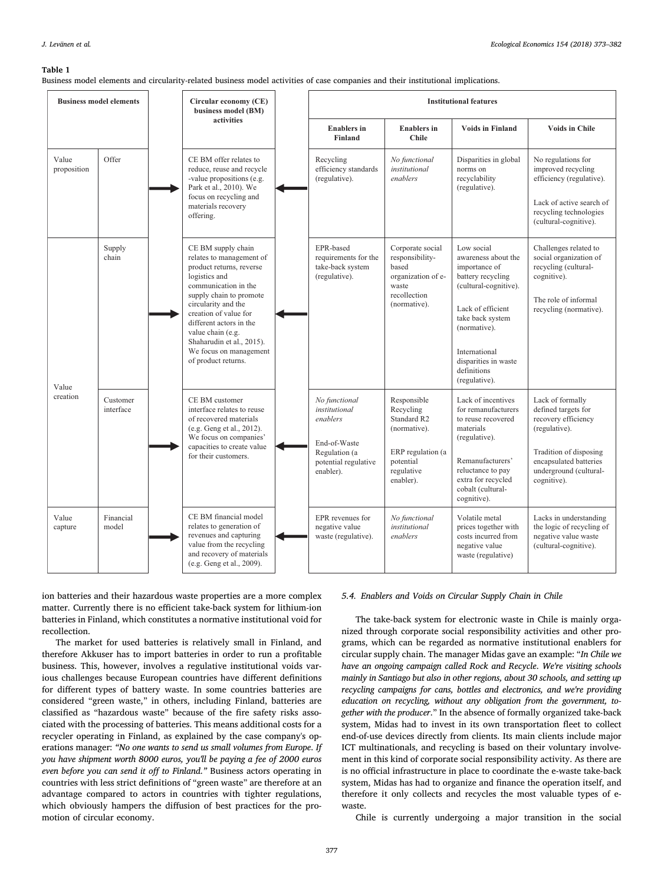#### <span id="page-4-0"></span>Table 1

Business model elements and circularity-related business model activities of case companies and their institutional implications.



ion batteries and their hazardous waste properties are a more complex matter. Currently there is no efficient take-back system for lithium-ion batteries in Finland, which constitutes a normative institutional void for recollection.

The market for used batteries is relatively small in Finland, and therefore Akkuser has to import batteries in order to run a profitable business. This, however, involves a regulative institutional voids various challenges because European countries have different definitions for different types of battery waste. In some countries batteries are considered "green waste," in others, including Finland, batteries are classified as "hazardous waste" because of the fire safety risks associated with the processing of batteries. This means additional costs for a recycler operating in Finland, as explained by the case company's operations manager: "No one wants to send us small volumes from Europe. If you have shipment worth 8000 euros, you'll be paying a fee of 2000 euros even before you can send it off to Finland." Business actors operating in countries with less strict definitions of "green waste" are therefore at an advantage compared to actors in countries with tighter regulations, which obviously hampers the diffusion of best practices for the promotion of circular economy.

#### 5.4. Enablers and Voids on Circular Supply Chain in Chile

The take-back system for electronic waste in Chile is mainly organized through corporate social responsibility activities and other programs, which can be regarded as normative institutional enablers for circular supply chain. The manager Midas gave an example: "In Chile we have an ongoing campaign called Rock and Recycle. We're visiting schools mainly in Santiago but also in other regions, about 30 schools, and setting up recycling campaigns for cans, bottles and electronics, and we're providing education on recycling, without any obligation from the government, together with the producer." In the absence of formally organized take-back system, Midas had to invest in its own transportation fleet to collect end-of-use devices directly from clients. Its main clients include major ICT multinationals, and recycling is based on their voluntary involvement in this kind of corporate social responsibility activity. As there are is no official infrastructure in place to coordinate the e-waste take-back system, Midas has had to organize and finance the operation itself, and therefore it only collects and recycles the most valuable types of ewaste.

Chile is currently undergoing a major transition in the social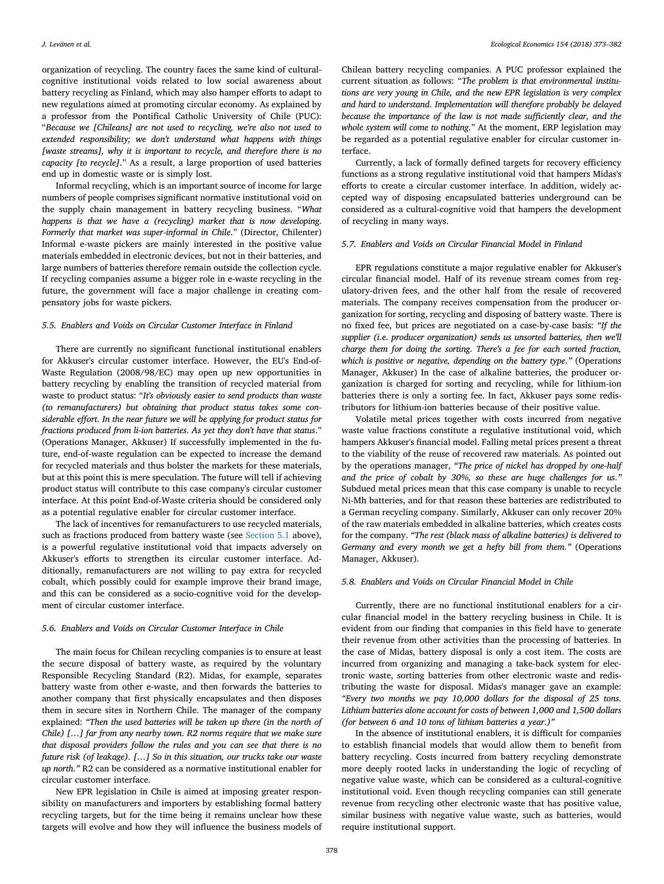organization of recycling. The country faces the same kind of culturalcognitive institutional voids related to low social awareness about battery recycling as Finland, which may also hamper efforts to adapt to new regulations aimed at promoting circular economy. As explained by a professor from the Pontifical Catholic University of Chile (PUC): "Because we [Chileans] are not used to recycling, we're also not used to extended responsibility; we don't understand what happens with things [waste streams], why it is important to recycle, and therefore there is no capacity [to recycle]." As a result, a large proportion of used batteries end up in domestic waste or is simply lost.

Informal recycling, which is an important source of income for large numbers of people comprises significant normative institutional void on the supply chain management in battery recycling business. "What happens is that we have a (recycling) market that is now developing. Formerly that market was super-informal in Chile." (Director, Chilenter) Informal e-waste pickers are mainly interested in the positive value materials embedded in electronic devices, but not in their batteries, and large numbers of batteries therefore remain outside the collection cycle. If recycling companies assume a bigger role in e-waste recycling in the future, the government will face a major challenge in creating compensatory jobs for waste pickers.

#### 5.5. Enablers and Voids on Circular Customer Interface in Finland

There are currently no significant functional institutional enablers for Akkuser's circular customer interface. However, the EU's End-of-Waste Regulation (2008/98/EC) may open up new opportunities in battery recycling by enabling the transition of recycled material from waste to product status: "It's obviously easier to send products than waste (to remanufacturers) but obtaining that product status takes some considerable effort. In the near future we will be applying for product status for fractions produced from li-ion batteries. As yet they don't have that status." (Operations Manager, Akkuser) If successfully implemented in the future, end-of-waste regulation can be expected to increase the demand for recycled materials and thus bolster the markets for these materials, but at this point this is mere speculation. The future will tell if achieving product status will contribute to this case company's circular customer interface. At this point End-of-Waste criteria should be considered only as a potential regulative enabler for circular customer interface.

The lack of incentives for remanufacturers to use recycled materials, such as fractions produced from battery waste (see [Section 5.1](#page-3-3) above), is a powerful regulative institutional void that impacts adversely on Akkuser's efforts to strengthen its circular customer interface. Additionally, remanufacturers are not willing to pay extra for recycled cobalt, which possibly could for example improve their brand image, and this can be considered as a socio-cognitive void for the development of circular customer interface.

#### 5.6. Enablers and Voids on Circular Customer Interface in Chile

The main focus for Chilean recycling companies is to ensure at least the secure disposal of battery waste, as required by the voluntary Responsible Recycling Standard (R2). Midas, for example, separates battery waste from other e-waste, and then forwards the batteries to another company that first physically encapsulates and then disposes them in secure sites in Northern Chile. The manager of the company explained: "Then the used batteries will be taken up there (in the north of Chile) […] far from any nearby town. R2 norms require that we make sure that disposal providers follow the rules and you can see that there is no future risk (of leakage). […] So in this situation, our trucks take our waste up north." R2 can be considered as a normative institutional enabler for circular customer interface.

New EPR legislation in Chile is aimed at imposing greater responsibility on manufacturers and importers by establishing formal battery recycling targets, but for the time being it remains unclear how these targets will evolve and how they will influence the business models of Chilean battery recycling companies. A PUC professor explained the current situation as follows: "The problem is that environmental institutions are very young in Chile, and the new EPR legislation is very complex and hard to understand. Implementation will therefore probably be delayed because the importance of the law is not made sufficiently clear, and the whole system will come to nothing." At the moment, ERP legislation may be regarded as a potential regulative enabler for circular customer interface.

Currently, a lack of formally defined targets for recovery efficiency functions as a strong regulative institutional void that hampers Midas's efforts to create a circular customer interface. In addition, widely accepted way of disposing encapsulated batteries underground can be considered as a cultural-cognitive void that hampers the development of recycling in many ways.

## 5.7. Enablers and Voids on Circular Financial Model in Finland

EPR regulations constitute a major regulative enabler for Akkuser's circular financial model. Half of its revenue stream comes from regulatory-driven fees, and the other half from the resale of recovered materials. The company receives compensation from the producer organization for sorting, recycling and disposing of battery waste. There is no fixed fee, but prices are negotiated on a case-by-case basis: "If the supplier (i.e. producer organization) sends us unsorted batteries, then we'll charge them for doing the sorting. There's a fee for each sorted fraction, which is positive or negative, depending on the battery type." (Operations Manager, Akkuser) In the case of alkaline batteries, the producer organization is charged for sorting and recycling, while for lithium-ion batteries there is only a sorting fee. In fact, Akkuser pays some redistributors for lithium-ion batteries because of their positive value.

Volatile metal prices together with costs incurred from negative waste value fractions constitute a regulative institutional void, which hampers Akkuser's financial model. Falling metal prices present a threat to the viability of the reuse of recovered raw materials. As pointed out by the operations manager, "The price of nickel has dropped by one-half and the price of cobalt by 30%, so these are huge challenges for us." Subdued metal prices mean that this case company is unable to recycle Ni-Mh batteries, and for that reason these batteries are redistributed to a German recycling company. Similarly, Akkuser can only recover 20% of the raw materials embedded in alkaline batteries, which creates costs for the company. "The rest (black mass of alkaline batteries) is delivered to Germany and every month we get a hefty bill from them." (Operations Manager, Akkuser).

#### 5.8. Enablers and Voids on Circular Financial Model in Chile

Currently, there are no functional institutional enablers for a circular financial model in the battery recycling business in Chile. It is evident from our finding that companies in this field have to generate their revenue from other activities than the processing of batteries. In the case of Midas, battery disposal is only a cost item. The costs are incurred from organizing and managing a take-back system for electronic waste, sorting batteries from other electronic waste and redistributing the waste for disposal. Midas's manager gave an example: "Every two months we pay 10,000 dollars for the disposal of 25 tons. Lithium batteries alone account for costs of between 1,000 and 1,500 dollars (for between 6 and 10 tons of lithium batteries a year.)"

In the absence of institutional enablers, it is difficult for companies to establish financial models that would allow them to benefit from battery recycling. Costs incurred from battery recycling demonstrate more deeply rooted lacks in understanding the logic of recycling of negative value waste, which can be considered as a cultural-cognitive institutional void. Even though recycling companies can still generate revenue from recycling other electronic waste that has positive value, similar business with negative value waste, such as batteries, would require institutional support.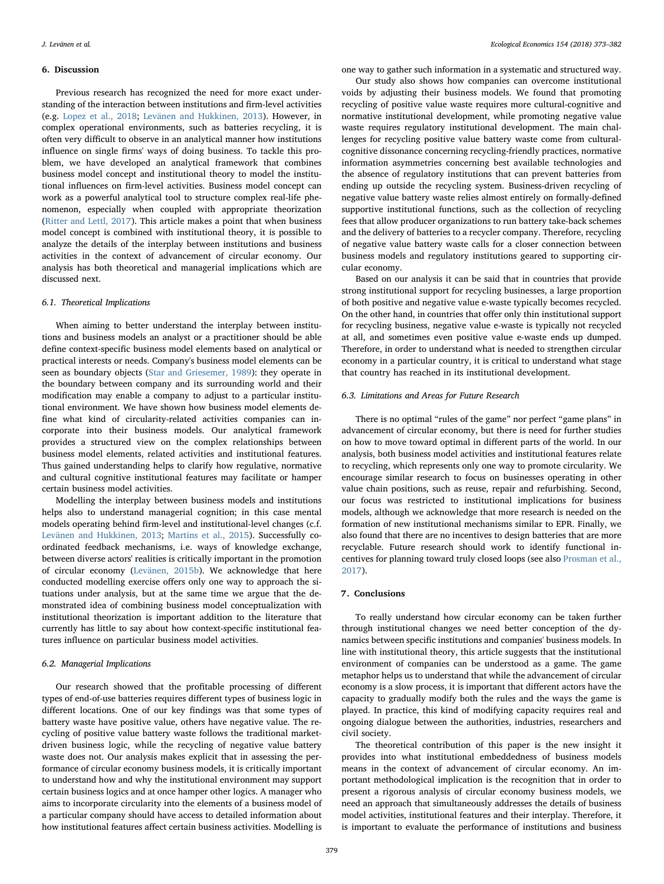#### 6. Discussion

Previous research has recognized the need for more exact understanding of the interaction between institutions and firm-level activities (e.g. [Lopez et al., 2018;](#page-8-26) [Levänen and Hukkinen, 2013\)](#page-8-27). However, in complex operational environments, such as batteries recycling, it is often very difficult to observe in an analytical manner how institutions influence on single firms' ways of doing business. To tackle this problem, we have developed an analytical framework that combines business model concept and institutional theory to model the institutional influences on firm-level activities. Business model concept can work as a powerful analytical tool to structure complex real-life phenomenon, especially when coupled with appropriate theorization ([Ritter and Lettl, 2017\)](#page-9-7). This article makes a point that when business model concept is combined with institutional theory, it is possible to analyze the details of the interplay between institutions and business activities in the context of advancement of circular economy. Our analysis has both theoretical and managerial implications which are discussed next.

#### 6.1. Theoretical Implications

When aiming to better understand the interplay between institutions and business models an analyst or a practitioner should be able define context-specific business model elements based on analytical or practical interests or needs. Company's business model elements can be seen as boundary objects ([Star and Griesemer, 1989\)](#page-9-18): they operate in the boundary between company and its surrounding world and their modification may enable a company to adjust to a particular institutional environment. We have shown how business model elements define what kind of circularity-related activities companies can incorporate into their business models. Our analytical framework provides a structured view on the complex relationships between business model elements, related activities and institutional features. Thus gained understanding helps to clarify how regulative, normative and cultural cognitive institutional features may facilitate or hamper certain business model activities.

Modelling the interplay between business models and institutions helps also to understand managerial cognition; in this case mental models operating behind firm-level and institutional-level changes (c.f. [Levänen and Hukkinen, 2013;](#page-8-27) [Martins et al., 2015](#page-8-15)). Successfully coordinated feedback mechanisms, i.e. ways of knowledge exchange, between diverse actors' realities is critically important in the promotion of circular economy ([Levänen, 2015b](#page-8-28)). We acknowledge that here conducted modelling exercise offers only one way to approach the situations under analysis, but at the same time we argue that the demonstrated idea of combining business model conceptualization with institutional theorization is important addition to the literature that currently has little to say about how context-specific institutional features influence on particular business model activities.

#### 6.2. Managerial Implications

Our research showed that the profitable processing of different types of end-of-use batteries requires different types of business logic in different locations. One of our key findings was that some types of battery waste have positive value, others have negative value. The recycling of positive value battery waste follows the traditional marketdriven business logic, while the recycling of negative value battery waste does not. Our analysis makes explicit that in assessing the performance of circular economy business models, it is critically important to understand how and why the institutional environment may support certain business logics and at once hamper other logics. A manager who aims to incorporate circularity into the elements of a business model of a particular company should have access to detailed information about how institutional features affect certain business activities. Modelling is one way to gather such information in a systematic and structured way.

Our study also shows how companies can overcome institutional voids by adjusting their business models. We found that promoting recycling of positive value waste requires more cultural-cognitive and normative institutional development, while promoting negative value waste requires regulatory institutional development. The main challenges for recycling positive value battery waste come from culturalcognitive dissonance concerning recycling-friendly practices, normative information asymmetries concerning best available technologies and the absence of regulatory institutions that can prevent batteries from ending up outside the recycling system. Business-driven recycling of negative value battery waste relies almost entirely on formally-defined supportive institutional functions, such as the collection of recycling fees that allow producer organizations to run battery take-back schemes and the delivery of batteries to a recycler company. Therefore, recycling of negative value battery waste calls for a closer connection between business models and regulatory institutions geared to supporting circular economy.

Based on our analysis it can be said that in countries that provide strong institutional support for recycling businesses, a large proportion of both positive and negative value e-waste typically becomes recycled. On the other hand, in countries that offer only thin institutional support for recycling business, negative value e-waste is typically not recycled at all, and sometimes even positive value e-waste ends up dumped. Therefore, in order to understand what is needed to strengthen circular economy in a particular country, it is critical to understand what stage that country has reached in its institutional development.

#### 6.3. Limitations and Areas for Future Research

There is no optimal "rules of the game" nor perfect "game plans" in advancement of circular economy, but there is need for further studies on how to move toward optimal in different parts of the world. In our analysis, both business model activities and institutional features relate to recycling, which represents only one way to promote circularity. We encourage similar research to focus on businesses operating in other value chain positions, such as reuse, repair and refurbishing. Second, our focus was restricted to institutional implications for business models, although we acknowledge that more research is needed on the formation of new institutional mechanisms similar to EPR. Finally, we also found that there are no incentives to design batteries that are more recyclable. Future research should work to identify functional incentives for planning toward truly closed loops (see also [Prosman et al.,](#page-9-19) [2017\)](#page-9-19).

## 7. Conclusions

To really understand how circular economy can be taken further through institutional changes we need better conception of the dynamics between specific institutions and companies' business models. In line with institutional theory, this article suggests that the institutional environment of companies can be understood as a game. The game metaphor helps us to understand that while the advancement of circular economy is a slow process, it is important that different actors have the capacity to gradually modify both the rules and the ways the game is played. In practice, this kind of modifying capacity requires real and ongoing dialogue between the authorities, industries, researchers and civil society.

The theoretical contribution of this paper is the new insight it provides into what institutional embeddedness of business models means in the context of advancement of circular economy. An important methodological implication is the recognition that in order to present a rigorous analysis of circular economy business models, we need an approach that simultaneously addresses the details of business model activities, institutional features and their interplay. Therefore, it is important to evaluate the performance of institutions and business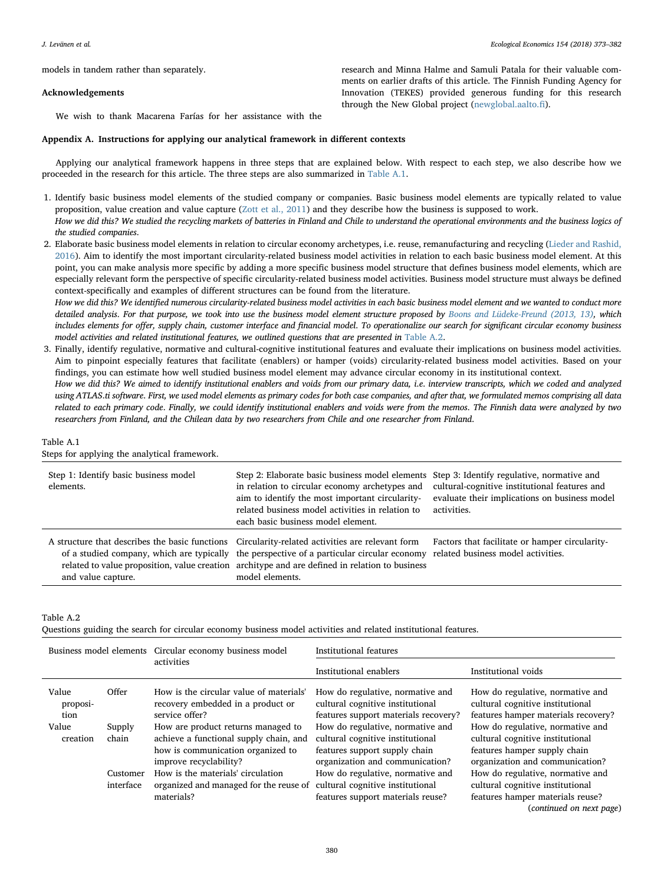models in tandem rather than separately.

## Acknowledgements

research and Minna Halme and Samuli Patala for their valuable comments on earlier drafts of this article. The Finnish Funding Agency for Innovation (TEKES) provided generous funding for this research through the New Global project ([newglobal.aalto.](http://newglobal.aalto.fi)fi).

We wish to thank Macarena Farías for her assistance with the

#### <span id="page-7-0"></span>Appendix A. Instructions for applying our analytical framework in different contexts

Applying our analytical framework happens in three steps that are explained below. With respect to each step, we also describe how we proceeded in the research for this article. The three steps are also summarized in [Table A.1](#page-7-1).

- 1. Identify basic business model elements of the studied company or companies. Basic business model elements are typically related to value proposition, value creation and value capture [\(Zott et al., 2011](#page-9-11)) and they describe how the business is supposed to work. How we did this? We studied the recycling markets of batteries in Finland and Chile to understand the operational environments and the business logics of
- the studied companies. 2. Elaborate basic business model elements in relation to circular economy archetypes, i.e. reuse, remanufacturing and recycling ([Lieder and Rashid,](#page-8-29) [2016](#page-8-29)). Aim to identify the most important circularity-related business model activities in relation to each basic business model element. At this point, you can make analysis more specific by adding a more specific business model structure that defines business model elements, which are especially relevant form the perspective of specific circularity-related business model activities. Business model structure must always be defined context-specifically and examples of different structures can be found from the literature.

How we did this? We identified numerous circularity-related business model activities in each basic business model element and we wanted to conduct more detailed analysis. For that purpose, we took into use the business model element structure proposed by [Boons and Lüdeke-Freund \(2013, 13\),](#page-8-8) which includes elements for offer, supply chain, customer interface and financial model. To operationalize our search for significant circular economy business model activities and related institutional features, we outlined questions that are presented in [Table A.2.](#page-7-2)

3. Finally, identify regulative, normative and cultural-cognitive institutional features and evaluate their implications on business model activities. Aim to pinpoint especially features that facilitate (enablers) or hamper (voids) circularity-related business model activities. Based on your findings, you can estimate how well studied business model element may advance circular economy in its institutional context.

How we did this? We aimed to identify institutional enablers and voids from our primary data, i.e. interview transcripts, which we coded and analyzed using ATLAS.ti software. First, we used model elements as primary codes for both case companies, and after that, we formulated memos comprising all data related to each primary code. Finally, we could identify institutional enablers and voids were from the memos. The Finnish data were analyzed by two researchers from Finland, and the Chilean data by two researchers from Chile and one researcher from Finland.

## <span id="page-7-1"></span>Table A.1

Steps for applying the analytical framework.

| Step 1: Identify basic business model<br>elements. | Step 2: Elaborate basic business model elements Step 3: Identify regulative, normative and<br>in relation to circular economy archetypes and<br>aim to identify the most important circularity-<br>related business model activities in relation to<br>each basic business model element.                          | cultural-cognitive institutional features and<br>evaluate their implications on business model<br>activities. |
|----------------------------------------------------|--------------------------------------------------------------------------------------------------------------------------------------------------------------------------------------------------------------------------------------------------------------------------------------------------------------------|---------------------------------------------------------------------------------------------------------------|
| and value capture.                                 | A structure that describes the basic functions Circularity-related activities are relevant form<br>of a studied company, which are typically the perspective of a particular circular economy<br>related to value proposition, value creation architype and are defined in relation to business<br>model elements. | Factors that facilitate or hamper circularity-<br>related business model activities.                          |

<span id="page-7-2"></span>Table A.2

Questions guiding the search for circular economy business model activities and related institutional features.

|                           |                       | Business model elements Circular economy business model                                                                                     | Institutional features                                                                                                                   |                                                                                                                                         |  |
|---------------------------|-----------------------|---------------------------------------------------------------------------------------------------------------------------------------------|------------------------------------------------------------------------------------------------------------------------------------------|-----------------------------------------------------------------------------------------------------------------------------------------|--|
|                           |                       | activities                                                                                                                                  | Institutional enablers                                                                                                                   | Institutional voids                                                                                                                     |  |
| Value<br>proposi-<br>tion | Offer                 | How is the circular value of materials'<br>recovery embedded in a product or<br>service offer?                                              | How do regulative, normative and<br>cultural cognitive institutional<br>features support materials recovery?                             | How do regulative, normative and<br>cultural cognitive institutional<br>features hamper materials recovery?                             |  |
| Value<br>creation         | Supply<br>chain       | How are product returns managed to<br>achieve a functional supply chain, and<br>how is communication organized to<br>improve recyclability? | How do regulative, normative and<br>cultural cognitive institutional<br>features support supply chain<br>organization and communication? | How do regulative, normative and<br>cultural cognitive institutional<br>features hamper supply chain<br>organization and communication? |  |
|                           | Customer<br>interface | How is the materials' circulation<br>organized and managed for the reuse of<br>materials?                                                   | How do regulative, normative and<br>cultural cognitive institutional<br>features support materials reuse?                                | How do regulative, normative and<br>cultural cognitive institutional<br>features hamper materials reuse?<br>(continued on next page)    |  |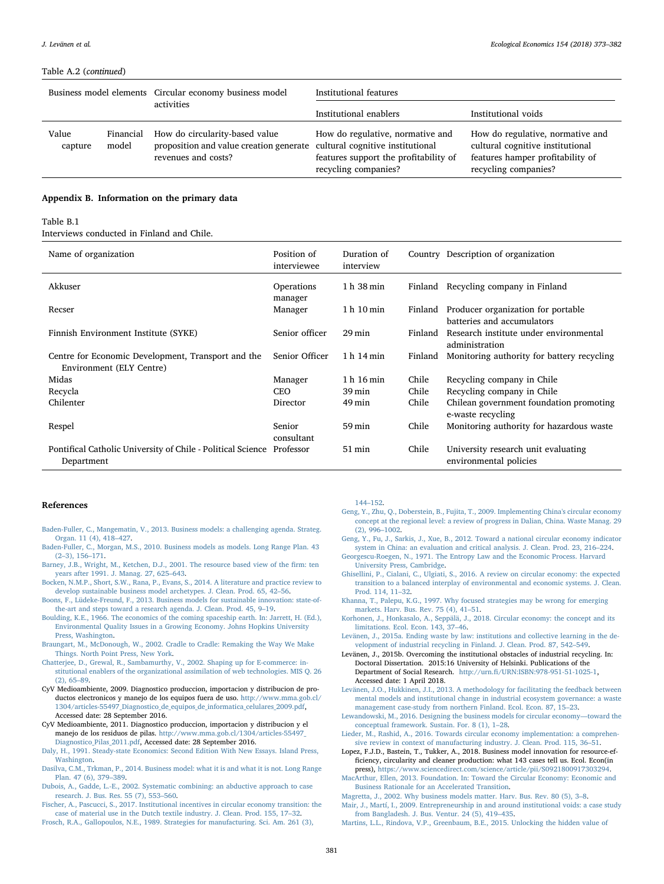#### Table A.2 (continued)

|                  |                    | Business model elements Circular economy business model                                                                           | Institutional features                                                                            |                                                                                                                                  |  |
|------------------|--------------------|-----------------------------------------------------------------------------------------------------------------------------------|---------------------------------------------------------------------------------------------------|----------------------------------------------------------------------------------------------------------------------------------|--|
|                  |                    | activities                                                                                                                        | Institutional enablers                                                                            | Institutional voids                                                                                                              |  |
| Value<br>capture | Financial<br>model | How do circularity-based value<br>proposition and value creation generate cultural cognitive institutional<br>revenues and costs? | How do regulative, normative and<br>features support the profitability of<br>recycling companies? | How do regulative, normative and<br>cultural cognitive institutional<br>features hamper profitability of<br>recycling companies? |  |

## <span id="page-8-25"></span>Appendix B. Information on the primary data

#### Table B.1

Interviews conducted in Finland and Chile.

| Name of organization                                                                | Position of<br>interviewee | Duration of<br>interview         |         | Country Description of organization                              |
|-------------------------------------------------------------------------------------|----------------------------|----------------------------------|---------|------------------------------------------------------------------|
| Akkuser                                                                             | Operations<br>manager      | $1h$ 38 min                      | Finland | Recycling company in Finland                                     |
| Recser                                                                              | Manager                    | 1 <sub>h</sub> 10 <sub>min</sub> | Finland | Producer organization for portable<br>batteries and accumulators |
| Finnish Environment Institute (SYKE)                                                | Senior officer             | $29 \,\mathrm{min}$              | Finland | Research institute under environmental<br>administration         |
| Centre for Economic Development, Transport and the<br>Environment (ELY Centre)      | Senior Officer             | 1 h 14 min                       | Finland | Monitoring authority for battery recycling                       |
| Midas                                                                               | Manager                    | 1 <sub>h</sub> 16 min            | Chile   | Recycling company in Chile                                       |
| Recycla                                                                             | <b>CEO</b>                 | $39 \,\mathrm{min}$              | Chile   | Recycling company in Chile                                       |
| Chilenter                                                                           | Director                   | $49 \,\mathrm{min}$              | Chile   | Chilean government foundation promoting<br>e-waste recycling     |
| Respel                                                                              | Senior<br>consultant       | 59 min                           | Chile   | Monitoring authority for hazardous waste                         |
| Pontifical Catholic University of Chile - Political Science Professor<br>Department |                            | $51 \,\mathrm{min}$              | Chile   | University research unit evaluating<br>environmental policies    |

#### References

- <span id="page-8-16"></span>[Baden-Fuller, C., Mangematin, V., 2013. Business models: a challenging agenda. Strateg.](http://refhub.elsevier.com/S0921-8009(17)31862-1/rf0005) [Organ. 11 \(4\), 418](http://refhub.elsevier.com/S0921-8009(17)31862-1/rf0005)–427.
- <span id="page-8-14"></span>[Baden-Fuller, C., Morgan, M.S., 2010. Business models as models. Long Range Plan. 43](http://refhub.elsevier.com/S0921-8009(17)31862-1/rf0010) (2–[3\), 156](http://refhub.elsevier.com/S0921-8009(17)31862-1/rf0010)–171.
- <span id="page-8-12"></span>[Barney, J.B., Wright, M., Ketchen, D.J., 2001. The resource based view of the](http://refhub.elsevier.com/S0921-8009(17)31862-1/rf0015) firm: ten [years after 1991. J. Manag. 27, 625](http://refhub.elsevier.com/S0921-8009(17)31862-1/rf0015)–643.
- <span id="page-8-10"></span>[Bocken, N.M.P., Short, S.W., Rana, P., Evans, S., 2014. A literature and practice review to](http://refhub.elsevier.com/S0921-8009(17)31862-1/rf0020) [develop sustainable business model archetypes. J. Clean. Prod. 65, 42](http://refhub.elsevier.com/S0921-8009(17)31862-1/rf0020)–56.
- <span id="page-8-8"></span>[Boons, F., Lüdeke-Freund, F., 2013. Business models for sustainable innovation: state-of](http://refhub.elsevier.com/S0921-8009(17)31862-1/rf0025)[the-art and steps toward a research agenda. J. Clean. Prod. 45, 9](http://refhub.elsevier.com/S0921-8009(17)31862-1/rf0025)–19.
- <span id="page-8-4"></span>[Boulding, K.E., 1966. The economics of the coming spaceship earth. In: Jarrett, H. \(Ed.\),](http://refhub.elsevier.com/S0921-8009(17)31862-1/rf0030) [Environmental Quality Issues in a Growing Economy. Johns Hopkins University](http://refhub.elsevier.com/S0921-8009(17)31862-1/rf0030) [Press, Washington](http://refhub.elsevier.com/S0921-8009(17)31862-1/rf0030).
- <span id="page-8-7"></span>[Braungart, M., McDonough, W., 2002. Cradle to Cradle: Remaking the Way We Make](http://refhub.elsevier.com/S0921-8009(17)31862-1/rf0035) [Things. North Point Press, New York](http://refhub.elsevier.com/S0921-8009(17)31862-1/rf0035).
- <span id="page-8-18"></span>[Chatterjee, D., Grewal, R., Sambamurthy, V., 2002. Shaping up for E-commerce: in](http://refhub.elsevier.com/S0921-8009(17)31862-1/rf0040)[stitutional enablers of the organizational assimilation of web technologies. MIS Q. 26](http://refhub.elsevier.com/S0921-8009(17)31862-1/rf0040) [\(2\), 65](http://refhub.elsevier.com/S0921-8009(17)31862-1/rf0040)–89.
- <span id="page-8-22"></span>CyV Medioambiente, 2009. Diagnostico produccion, importacion y distribucion de productos electronicos y manejo de los equipos fuera de uso. [http://www.mma.gob.cl/](http://www.mma.gob.cl/1304/articles-55497_Diagnostico_de_equipos_de_informatica_celulares_2009.pdf) [1304/articles-55497\\_Diagnostico\\_de\\_equipos\\_de\\_informatica\\_celulares\\_2009.pdf,](http://www.mma.gob.cl/1304/articles-55497_Diagnostico_de_equipos_de_informatica_celulares_2009.pdf) Accessed date: 28 September 2016.
- <span id="page-8-23"></span>CyV Medioambiente, 2011. Diagnostico produccion, importacion y distribucion y el manejo de los residuos de pilas. [http://www.mma.gob.cl/1304/articles-55497\\_](http://www.mma.gob.cl/1304/articles-55497_Diagnostico_Pilas_2011.pdf) [Diagnostico\\_Pilas\\_2011.pdf,](http://www.mma.gob.cl/1304/articles-55497_Diagnostico_Pilas_2011.pdf) Accessed date: 28 September 2016.
- <span id="page-8-3"></span>[Daly, H., 1991. Steady-state Economics: Second Edition With New Essays. Island Press,](http://refhub.elsevier.com/S0921-8009(17)31862-1/rf0055) [Washington](http://refhub.elsevier.com/S0921-8009(17)31862-1/rf0055).
- <span id="page-8-13"></span>[Dasilva, C.M., Trkman, P., 2014. Business model: what it is and what it is not. Long Range](http://refhub.elsevier.com/S0921-8009(17)31862-1/rf0060) [Plan. 47 \(6\), 379](http://refhub.elsevier.com/S0921-8009(17)31862-1/rf0060)–389.
- <span id="page-8-24"></span>[Dubois, A., Gadde, L.-E., 2002. Systematic combining: an abductive approach to case](http://refhub.elsevier.com/S0921-8009(17)31862-1/rf0065) [research. J. Bus. Res. 55 \(7\), 553](http://refhub.elsevier.com/S0921-8009(17)31862-1/rf0065)–560.
- <span id="page-8-0"></span>[Fischer, A., Pascucci, S., 2017. Institutional incentives in circular economy transition: the](http://refhub.elsevier.com/S0921-8009(17)31862-1/rf0070) [case of material use in the Dutch textile industry. J. Clean. Prod. 155, 17](http://refhub.elsevier.com/S0921-8009(17)31862-1/rf0070)–32.
- <span id="page-8-6"></span>[Frosch, R.A., Gallopoulos, N.E., 1989. Strategies for manufacturing. Sci. Am. 261 \(3\),](http://refhub.elsevier.com/S0921-8009(17)31862-1/rf0075)

144–[152](http://refhub.elsevier.com/S0921-8009(17)31862-1/rf0075).

- [Geng, Y., Zhu, Q., Doberstein, B., Fujita, T., 2009. Implementing China's circular economy](http://refhub.elsevier.com/S0921-8009(17)31862-1/rf0080) [concept at the regional level: a review of progress in Dalian, China. Waste Manag. 29](http://refhub.elsevier.com/S0921-8009(17)31862-1/rf0080) [\(2\), 996](http://refhub.elsevier.com/S0921-8009(17)31862-1/rf0080)–1002.
- [Geng, Y., Fu, J., Sarkis, J., Xue, B., 2012. Toward a national circular economy indicator](http://refhub.elsevier.com/S0921-8009(17)31862-1/rf0085) [system in China: an evaluation and critical analysis. J. Clean. Prod. 23, 216](http://refhub.elsevier.com/S0921-8009(17)31862-1/rf0085)–224.
- <span id="page-8-5"></span>[Georgescu-Roegen, N., 1971. The Entropy Law and the Economic Process. Harvard](http://refhub.elsevier.com/S0921-8009(17)31862-1/rf0090) [University Press, Cambridge.](http://refhub.elsevier.com/S0921-8009(17)31862-1/rf0090)
- <span id="page-8-1"></span>[Ghisellini, P., Cialani, C., Ulgiati, S., 2016. A review on circular economy: the expected](http://refhub.elsevier.com/S0921-8009(17)31862-1/rf0095) [transition to a balanced interplay of environmental and economic systems. J. Clean.](http://refhub.elsevier.com/S0921-8009(17)31862-1/rf0095) [Prod. 114, 11](http://refhub.elsevier.com/S0921-8009(17)31862-1/rf0095)–32.
- <span id="page-8-19"></span>[Khanna, T., Palepu, K.G., 1997. Why focused strategies may be wrong for emerging](http://refhub.elsevier.com/S0921-8009(17)31862-1/rf0100) [markets. Harv. Bus. Rev. 75 \(4\), 41](http://refhub.elsevier.com/S0921-8009(17)31862-1/rf0100)–51.
- <span id="page-8-2"></span>[Korhonen, J., Honkasalo, A., Seppälä, J., 2018. Circular economy: the concept and its](http://refhub.elsevier.com/S0921-8009(17)31862-1/rf0105) [limitations. Ecol. Econ. 143, 37](http://refhub.elsevier.com/S0921-8009(17)31862-1/rf0105)–46.
- <span id="page-8-11"></span>Levänen, [J., 2015a. Ending waste by law: institutions and collective learning in the de](http://refhub.elsevier.com/S0921-8009(17)31862-1/rf0110)[velopment of industrial recycling in Finland. J. Clean. Prod. 87, 542](http://refhub.elsevier.com/S0921-8009(17)31862-1/rf0110)–549.
- <span id="page-8-28"></span>Levänen, J., 2015b. Overcoming the institutional obstacles of industrial recycling. In: Doctoral Dissertation. 2015:16 University of Helsinki. Publications of the Department of Social Research. http://urn.fi[/URN:ISBN:978-951-51-1025-1,](http://urn.fi/URN:ISBN:978-951-51-1025-1) Accessed date: 1 April 2018.
- <span id="page-8-27"></span>[Levänen, J.O., Hukkinen, J.I., 2013. A methodology for facilitating the feedback between](http://refhub.elsevier.com/S0921-8009(17)31862-1/rf0120) [mental models and institutional change in industrial ecosystem governance: a waste](http://refhub.elsevier.com/S0921-8009(17)31862-1/rf0120) [management case-study from northern Finland. Ecol. Econ. 87, 15](http://refhub.elsevier.com/S0921-8009(17)31862-1/rf0120)–23.
- <span id="page-8-9"></span>[Lewandowski, M., 2016. Designing the business models for circular economy](http://refhub.elsevier.com/S0921-8009(17)31862-1/rf0125)—toward the [conceptual framework. Sustain. For. 8 \(1\), 1](http://refhub.elsevier.com/S0921-8009(17)31862-1/rf0125)–28.
- <span id="page-8-29"></span>[Lieder, M., Rashid, A., 2016. Towards circular economy implementation: a comprehen](http://refhub.elsevier.com/S0921-8009(17)31862-1/rf0130)[sive review in context of manufacturing industry. J. Clean. Prod. 115, 36](http://refhub.elsevier.com/S0921-8009(17)31862-1/rf0130)–51.
- <span id="page-8-26"></span>Lopez, F.J.D., Bastein, T., Tukker, A., 2018. Business model innovation for resource-efficiency, circularity and cleaner production: what 143 cases tell us. Ecol. Econ(in press), <https://www.sciencedirect.com/science/article/pii/S0921800917303294>.
- <span id="page-8-21"></span>[MacArthur, Ellen, 2013. Foundation. In: Toward the Circular Economy: Economic and](http://refhub.elsevier.com/S0921-8009(17)31862-1/rf0140) [Business Rationale for an Accelerated Transition](http://refhub.elsevier.com/S0921-8009(17)31862-1/rf0140).
- <span id="page-8-17"></span>[Magretta, J., 2002. Why business models matter. Harv. Bus. Rev. 80 \(5\), 3](http://refhub.elsevier.com/S0921-8009(17)31862-1/rf0145)–8.

<span id="page-8-20"></span>[Mair, J., Martí, I., 2009. Entrepreneurship in and around institutional voids: a case study](http://refhub.elsevier.com/S0921-8009(17)31862-1/rf0150) [from Bangladesh. J. Bus. Ventur. 24 \(5\), 419](http://refhub.elsevier.com/S0921-8009(17)31862-1/rf0150)–435.

<span id="page-8-15"></span>[Martins, L.L., Rindova, V.P., Greenbaum, B.E., 2015. Unlocking the hidden value of](http://refhub.elsevier.com/S0921-8009(17)31862-1/rf0155)